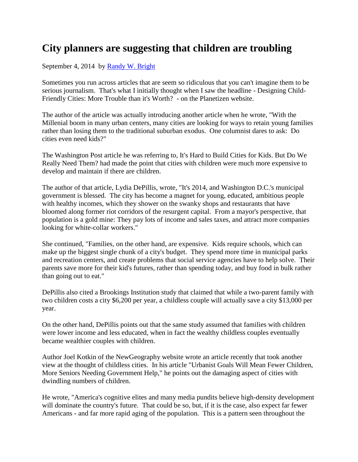## **City planners are suggesting that children are troubling**

September 4, 2014 by [Randy W. Bright](http://www.tulsabeacon.com/author/slug-o6yd1v)

Sometimes you run across articles that are seem so ridiculous that you can't imagine them to be serious journalism. That's what I initially thought when I saw the headline - Designing Child-Friendly Cities: More Trouble than it's Worth? - on the Planetizen website.

The author of the article was actually introducing another article when he wrote, "With the Millenial boom in many urban centers, many cities are looking for ways to retain young families rather than losing them to the traditional suburban exodus. One columnist dares to ask: Do cities even need kids?"

The Washington Post article he was referring to, It's Hard to Build Cities for Kids. But Do We Really Need Them? had made the point that cities with children were much more expensive to develop and maintain if there are children.

The author of that article, Lydia DePillis, wrote, "It's 2014, and Washington D.C.'s municipal government is blessed. The city has become a magnet for young, educated, ambitious people with healthy incomes, which they shower on the swanky shops and restaurants that have bloomed along former riot corridors of the resurgent capital. From a mayor's perspective, that population is a gold mine: They pay lots of income and sales taxes, and attract more companies looking for white-collar workers."

She continued, "Families, on the other hand, are expensive. Kids require schools, which can make up the biggest single chunk of a city's budget. They spend more time in municipal parks and recreation centers, and create problems that social service agencies have to help solve. Their parents save more for their kid's futures, rather than spending today, and buy food in bulk rather than going out to eat."

DePillis also cited a Brookings Institution study that claimed that while a two-parent family with two children costs a city \$6,200 per year, a childless couple will actually save a city \$13,000 per year.

On the other hand, DePillis points out that the same study assumed that families with children were lower income and less educated, when in fact the wealthy childless couples eventually became wealthier couples with children.

Author Joel Kotkin of the NewGeography website wrote an article recently that took another view at the thought of childless cities. In his article "Urbanist Goals Will Mean Fewer Children, More Seniors Needing Government Help," he points out the damaging aspect of cities with dwindling numbers of children.

He wrote, "America's cognitive elites and many media pundits believe high-density development will dominate the country's future. That could be so, but, if it is the case, also expect far fewer Americans - and far more rapid aging of the population. This is a pattern seen throughout the